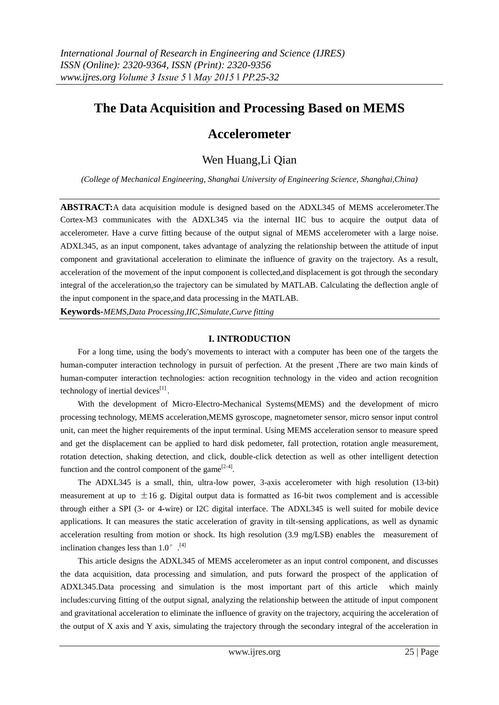# **The Data Acquisition and Processing Based on MEMS**

# **Accelerometer**

## Wen Huang,Li Qian

*(College of Mechanical Engineering, Shanghai University of Engineering Science, Shanghai,China)* 

**ABSTRACT:**A data acquisition module is designed based on the ADXL345 of MEMS accelerometer.The Cortex-M3 communicates with the ADXL345 via the internal IIC bus to acquire the output data of accelerometer. Have a curve fitting because of the output signal of MEMS accelerometer with a large noise. ADXL345, as an input component, takes advantage of analyzing the relationship between the attitude of input component and gravitational acceleration to eliminate the influence of gravity on the trajectory. As a result, acceleration of the movement of the input component is collected,and displacement is got through the secondary integral of the acceleration,so the trajectory can be simulated by MATLAB. Calculating the deflection angle of the input component in the space,and data processing in the MATLAB.

**Keywords-***MEMS,Data Processing,IIC,Simulate,Curve fitting*

### **I. INTRODUCTION**

For a long time, using the body's movements to interact with a computer has been one of the targets the human-computer interaction technology in pursuit of perfection. At the present ,There are two main kinds of human-computer interaction technologies: action recognition technology in the video and action recognition technology of inertial devices $^{[1]}$ .

With the development of Micro-Electro-Mechanical Systems(MEMS) and the development of micro processing technology, MEMS acceleration,MEMS gyroscope, magnetometer sensor, micro sensor input control unit, can meet the higher requirements of the input terminal. Using MEMS acceleration sensor to measure speed and get the displacement can be applied to hard disk pedometer, fall protection, rotation angle measurement, rotation detection, shaking detection, and click, double-click detection as well as other intelligent detection function and the control component of the game<sup>[2-4]</sup>.

The ADXL345 is a small, thin, ultra-low power, 3-axis accelerometer with high resolution (13-bit) measurement at up to  $\pm 16$  g. Digital output data is formatted as 16-bit twos complement and is accessible through either a SPI (3- or 4-wire) or I2C digital interface. The ADXL345 is well suited for mobile device applications. It can measures the static acceleration of gravity in tilt-sensing applications, as well as dynamic acceleration resulting from motion or shock. Its high resolution (3.9 mg/LSB) enables the measurement of inclination changes less than  $1.0^{\circ}$ .<sup>[4]</sup>

This article designs the ADXL345 of MEMS accelerometer as an input control component, and discusses the data acquisition, data processing and simulation, and puts forward the prospect of the application of ADXL345.Data processing and simulation is the most important part of this article which mainly includes:curving fitting of the output signal, analyzing the relationship between the attitude of input component and gravitational acceleration to eliminate the influence of gravity on the trajectory, acquiring the acceleration of the output of X axis and Y axis, simulating the trajectory through the secondary integral of the acceleration in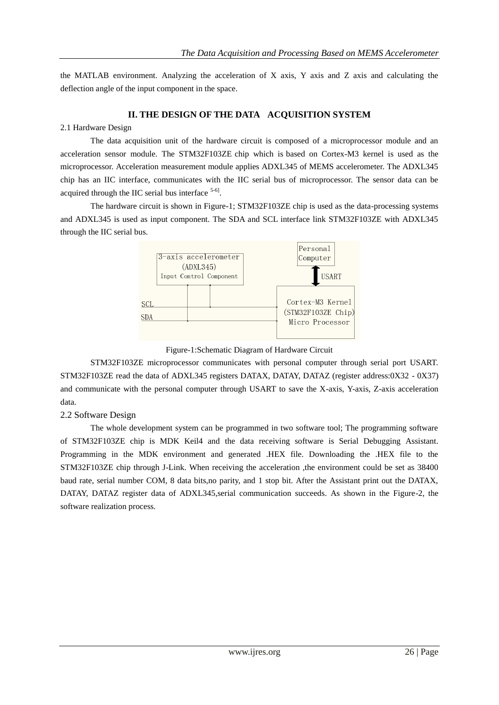the MATLAB environment. Analyzing the acceleration of X axis, Y axis and Z axis and calculating the deflection angle of the input component in the space.

### **II. THE DESIGN OF THE DATA ACQUISITION SYSTEM**

### 2.1 Hardware Design

The data acquisition unit of the hardware circuit is composed of a microprocessor module and an acceleration sensor module. The STM32F103ZE chip which is based on Cortex-M3 kernel is used as the microprocessor. Acceleration measurement module applies ADXL345 of MEMS accelerometer. The ADXL345 chip has an IIC interface, communicates with the IIC serial bus of microprocessor. The sensor data can be acquired through the IIC serial bus interface  $5-6$ .

The hardware circuit is shown in Figure-1; STM32F103ZE chip is used as the data-processing systems and ADXL345 is used as input component. The SDA and SCL interface link STM32F103ZE with ADXL345 through the IIC serial bus.





STM32F103ZE microprocessor communicates with personal computer through serial port USART. STM32F103ZE read the data of ADXL345 registers DATAX, DATAY, DATAZ (register address:0X32 - 0X37) and communicate with the personal computer through USART to save the X-axis, Y-axis, Z-axis acceleration data.

### 2.2 Software Design

The whole development system can be programmed in two software tool; The programming software of STM32F103ZE chip is MDK Keil4 and the data receiving software is Serial Debugging Assistant. Programming in the MDK environment and generated .HEX file. Downloading the .HEX file to the STM32F103ZE chip through J-Link. When receiving the acceleration ,the environment could be set as 38400 baud rate, serial number COM, 8 data bits,no parity, and 1 stop bit. After the Assistant print out the DATAX, DATAY, DATAZ register data of ADXL345,serial communication succeeds. As shown in the Figure-2, the software realization process.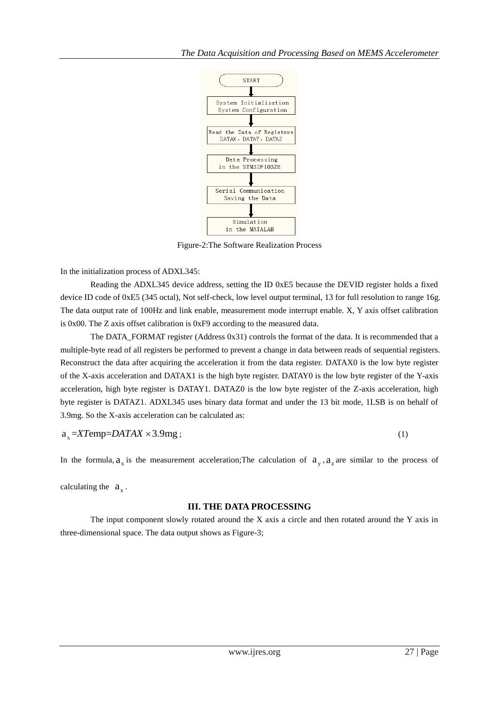

Figure-2:The Software Realization Process

In the initialization process of ADXL345:

Reading the ADXL345 device address, setting the ID 0xE5 because the DEVID register holds a fixed device ID code of 0xE5 (345 octal), Not self-check, low level output terminal, 13 for full resolution to range 16g. The data output rate of 100Hz and link enable, measurement mode interrupt enable. X, Y axis offset calibration is 0x00. The Z axis offset calibration is 0xF9 according to the measured data.

The DATA\_FORMAT register (Address 0x31) controls the format of the data. It is recommended that a multiple-byte read of all registers be performed to prevent a change in data between reads of sequential registers. Reconstruct the data after acquiring the acceleration it from the data register. DATAX0 is the low byte register of the X-axis acceleration and DATAX1 is the high byte register. DATAY0 is the low byte register of the Y-axis acceleration, high byte register is DATAY1. DATAZ0 is the low byte register of the Z-axis acceleration, high byte register is DATAZ1. ADXL345 uses binary data format and under the 13 bit mode, 1LSB is on behalf of 3.9mg. So the X-axis acceleration can be calculated as:

$$
a_x = XTemp = DATAX \times 3.9mg \tag{1}
$$

In the formula,  $a_x$  is the measurement acceleration; The calculation of  $a_y$ ,  $a_z$  are similar to the process of

calculating the  $a_x$ .

#### **III. THE DATA PROCESSING**

The input component slowly rotated around the X axis a circle and then rotated around the Y axis in three-dimensional space. The data output shows as Figure-3;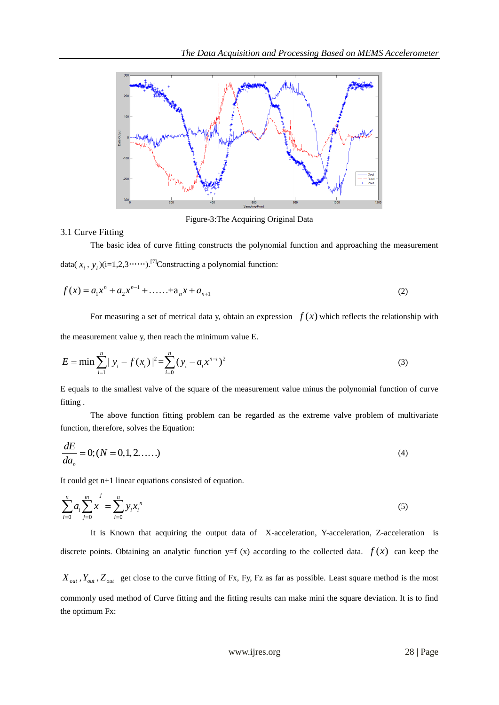

Figure-3:The Acquiring Original Data

#### 3.1 Curve Fitting

The basic idea of curve fitting constructs the polynomial function and approaching the measurement data( $x_i$ ,  $y_i$ )(i=1,2,3……).<sup>[7]</sup>Constructing a polynomial function:

$$
f(x) = a_1 x^n + a_2 x^{n-1} + \dots + a_n x + a_{n+1}
$$
 (2)

For measuring a set of metrical data y, obtain an expression  $f(x)$  which reflects the relationship with

the measurement value y, then reach the minimum value E.  
\n
$$
E = \min \sum_{i=1}^{n} |y_i - f(x_i)|^2 = \sum_{i=0}^{n} (y_i - a_i x^{n-i})^2
$$
\n(3)

E equals to the smallest valve of the square of the measurement value minus the polynomial function of curve fitting .

The above function fitting problem can be regarded as the extreme valve problem of multivariate function, therefore, solves the Equation:

$$
\frac{dE}{da_n} = 0; (N = 0, 1, 2, \dots \tag{4}
$$

It could get n+1 linear equations consisted of equation.

$$
\sum_{i=0}^{n} a_i \sum_{j=0}^{m} x^j = \sum_{i=0}^{n} y_i x_i^n
$$
 (5)

It is Known that acquiring the output data of X-acceleration, Y-acceleration, Z-acceleration is discrete points. Obtaining an analytic function  $y=f(x)$  according to the collected data.  $f(x)$  can keep the

 $X_{out}$ ,  $Y_{out}$ ,  $Z_{out}$  get close to the curve fitting of Fx, Fy, Fz as far as possible. [Least square method](http://ct.dict-client.iciba.com/2013-01-22/?action=client&word=%E6%9C%80%E5%B0%8F%E4%BA%8C%E4%B9%98%E6%B3%95&dictlist=201,2,1,101,6,104,7,105,5,103,203,202,8,9,204,205,10,11,3,4,&zyid=&hyzonghe_tag=0&nav_status=1&type=0&authkey=3f506a47c84d6f1d30b3f844fbcc63a7&uuid=1B71158C20F283F4F12F9F18A597F60C&v=2014.05.16.044&tip_show=2,1,3,4,5,6,&fontsize=0&channel=1.00###) is the most commonly used method of Curve fitting and the fitting results can make mini the square deviation. It is to find the optimum Fx: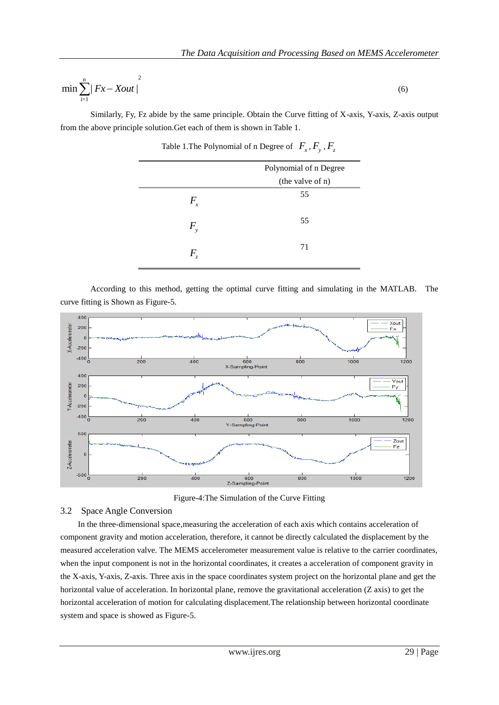$$
\min \sum_{i=1}^{n} |Fx - Xout|^{2} \tag{6}
$$

Similarly, Fy, Fz abide by the same principle. Obtain the Curve fitting of X-axis, Y-axis, Z-axis output from the above principle solution.Get each of them is shown in Table 1.

|                            | Polynomial of n Degree |
|----------------------------|------------------------|
|                            | (the valve of n)       |
| $F_{\scriptscriptstyle x}$ | 55                     |
| $F_{\rm v}$                | 55                     |
| $\,F$<br>Z                 | 71                     |

Table 1. The Polynomial of n Degree of  $F_x$ ,  $F_y$ ,  $F_z$ 

According to this method, getting the optimal curve fitting and simulating in the MATLAB. The curve fitting is Shown as Figure-5.



Figure-4:The Simulation of the Curve Fitting

#### 3.2 Space Angle Conversion

In the three-dimensional space,measuring the acceleration of each axis which contains acceleration of component gravity and motion acceleration, therefore, it cannot be directly calculated the displacement by the measured acceleration valve. The MEMS accelerometer measurement value is relative to the carrier coordinates, when the input component is not in the horizontal coordinates, it creates a acceleration of component gravity in the X-axis, Y-axis, Z-axis. Three axis in the space coordinates system project on the horizontal plane and get the horizontal value of acceleration. In horizontal plane, remove the gravitational acceleration (Z axis) to get the horizontal acceleration of motion for calculating displacement.The relationship between horizontal coordinate system and space is showed as Figure-5.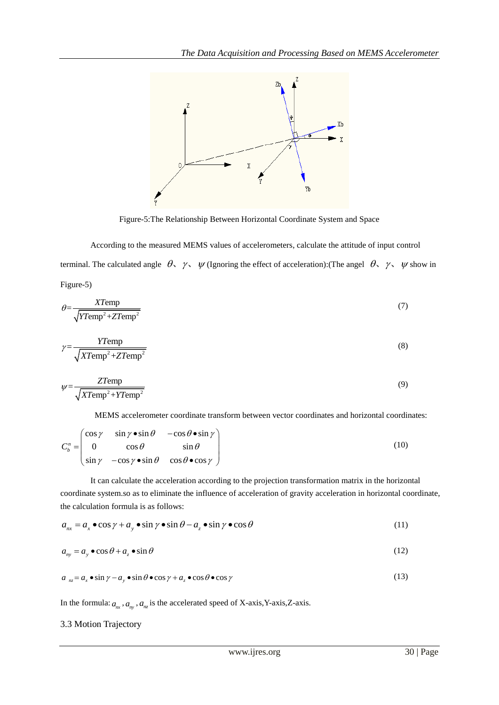

Figure-5:The Relationship Between Horizontal Coordinate System and Space

According to the measured MEMS values of accelerometers, calculate the attitude of input control terminal. The calculated angle  $\theta$ ,  $\gamma$ ,  $\psi$  (Ignoring the effect of acceleration): (The angel  $\theta$ ,  $\gamma$ ,  $\psi$  show in Figure-5)

$$
\theta = \frac{XT\text{emp}}{\sqrt{YT\text{emp}^2 + ZT\text{emp}^2}}\tag{7}
$$

$$
\gamma = \frac{YT \text{emp}}{\sqrt{XT \text{emp}^2 + ZT \text{emp}^2}}
$$
\n(8)

$$
\psi = \frac{ZT\text{emp}}{\sqrt{XT\text{emp}^2 + YT\text{emp}^2}}
$$
\n(9)

MEMS accelerator coordinate transform between vector coordinates and horizontal coordinates:  
\n
$$
C_b^n = \begin{pmatrix}\n\cos \gamma & \sin \gamma \cdot \sin \theta & -\cos \theta \cdot \sin \gamma \\
0 & \cos \theta & \sin \theta \\
\sin \gamma & -\cos \gamma \cdot \sin \theta & \cos \theta \cdot \cos \gamma\n\end{pmatrix}
$$
\n(10)

It can calculate the acceleration according to the projection transformation matrix in the horizontal coordinate system.so as to eliminate the influence of acceleration of gravity acceleration in horizontal coordinate,

the calculation formula is as follows:  
\n
$$
a_{nx} = a_x \bullet \cos \gamma + a_y \bullet \sin \gamma \bullet \sin \theta - a_z \bullet \sin \gamma \bullet \cos \theta
$$
\n(11)

$$
a_{ny} = a_y \bullet \cos \theta + a_z \bullet \sin \theta \tag{12}
$$

$$
a_{nz} = a_x \bullet \sin \gamma - a_y \bullet \sin \theta \bullet \cos \gamma + a_z \bullet \cos \theta \bullet \cos \gamma
$$
 (13)

In the formula:  $a_{mx}$ ,  $a_{ny}$ ,  $a_{nz}$  is the accelerated speed of X-axis,Y-axis,Z-axis.

#### 3.3 Motion Trajectory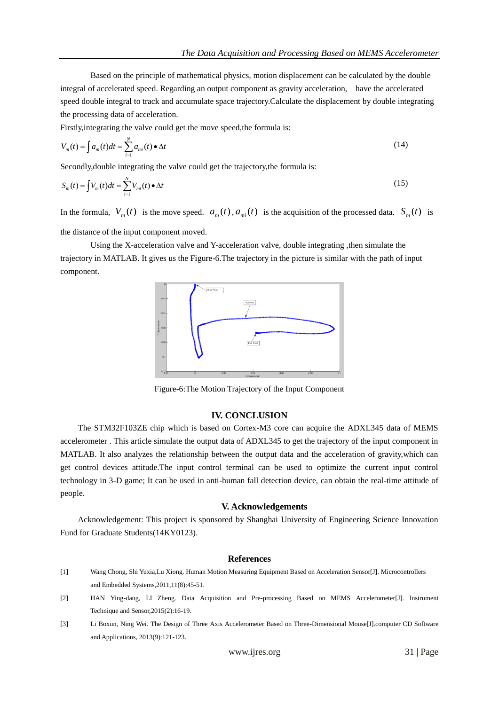Based on the principle of mathematical physics, motion displacement can be calculated by the double integral of accelerated speed. Regarding an output component as gravity acceleration, have the accelerated speed double integral to track and accumulate space trajectory.Calculate the displacement by double integrating the processing data of acceleration.

Firstly,integrating the valve could get the move speed,the formula is:

$$
V_m(t) = \int a_m(t)dt = \sum_{i=1}^N a_{mi}(t) \bullet \Delta t \tag{14}
$$

Secondly,double integrating the valve could get the trajectory,the formula is:

$$
S_m(t) = \int V_m(t)dt = \sum_{i=1}^N V_{mi}(t) \bullet \Delta t \tag{15}
$$

In the formula,  $V_m(t)$  is the move speed.  $a_m(t)$ ,  $a_{mi}(t)$  is the acquisition of the processed data.  $S_m(t)$  is the distance of the input component moved.

Using the X-acceleration valve and Y-acceleration valve, double integrating ,then simulate the trajectory in MATLAB. It gives us the Figure-6.The trajectory in the picture is similar with the path of input component.



Figure-6:The Motion Trajectory of the Input Component

#### **IV. CONCLUSION**

The STM32F103ZE chip which is based on Cortex-M3 core can acquire the ADXL345 data of MEMS accelerometer . This article simulate the output data of ADXL345 to get the trajectory of the input component in MATLAB. It also analyzes the relationship between the output data and the acceleration of gravity,which can get control devices attitude.The input control terminal can be used to optimize the current input control technology in 3-D game; It can be used in anti-human fall detection device, can obtain the real-time attitude of people.

#### **V. Acknowledgements**

Acknowledgement: This project is sponsored by Shanghai University of Engineering Science Innovation Fund for Graduate Students(14KY0123).

#### **References**

- [1] Wang Chong, Shi Yuxia,Lu Xiong. Human Motion Measuring Equipment Based on Acceleration Sensor[J]. Microcontrollers and Embedded Systems,2011,11(8):45-51.
- [2] HAN Ying-dang, LI Zheng. Data Acquisition and Pre-processing Based on MEMS Accelerometer[J]. Instrument Technique and Sensor,2015(2):16-19.
- [3] Li Boxun, Ning Wei. The Design of Three Axis Accelerometer Based on Three-Dimensional Mouse[J].computer CD Software and Applications, 2013(9):121-123.